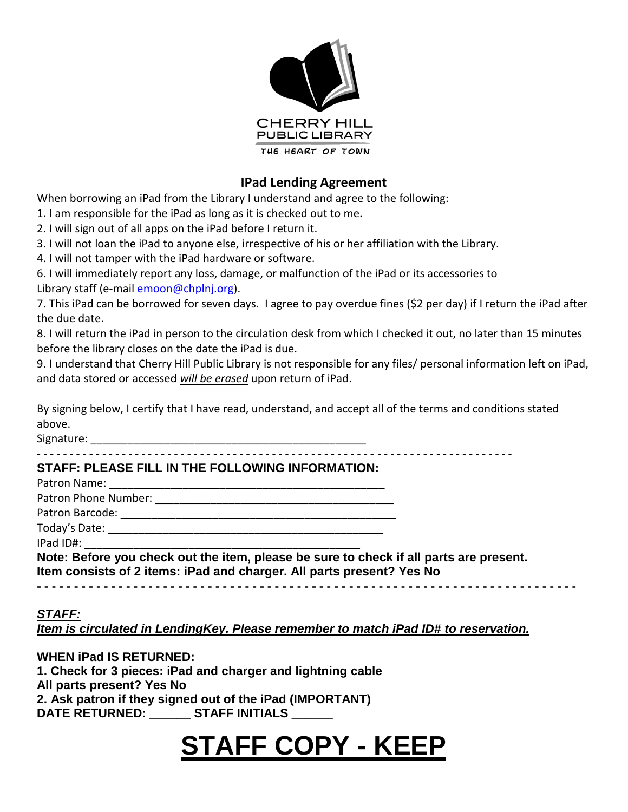

### **IPad Lending Agreement**

When borrowing an iPad from the Library I understand and agree to the following:

1. I am responsible for the iPad as long as it is checked out to me.

2. I will sign out of all apps on the iPad before I return it.

3. I will not loan the iPad to anyone else, irrespective of his or her affiliation with the Library.

4. I will not tamper with the iPad hardware or software.

6. I will immediately report any loss, damage, or malfunction of the iPad or its accessories to Library staff (e-mail emoon@chplnj.org).

7. This iPad can be borrowed for seven days. I agree to pay overdue fines (\$2 per day) if I return the iPad after the due date.

8. I will return the iPad in person to the circulation desk from which I checked it out, no later than 15 minutes before the library closes on the date the iPad is due.

9. I understand that Cherry Hill Public Library is not responsible for any files/ personal information left on iPad, and data stored or accessed *will be erased* upon return of iPad.

By signing below, I certify that I have read, understand, and accept all of the terms and conditions stated above.

Signature: \_\_\_\_\_\_\_\_\_\_\_\_\_\_\_\_\_\_\_\_\_\_\_\_\_\_\_\_\_\_\_\_\_\_\_\_\_\_\_\_\_\_\_\_\_

‐ ‐ ‐ ‐ ‐ ‐ ‐ ‐ ‐ ‐ ‐ ‐ ‐ ‐ ‐ ‐ ‐ ‐ ‐ ‐ ‐ ‐ ‐ ‐ ‐ ‐ ‐ ‐ ‐ ‐ ‐ ‐ ‐ ‐ ‐ ‐ ‐ ‐ ‐ ‐ ‐ ‐ ‐ ‐ ‐ ‐ ‐ ‐ ‐ ‐ ‐ ‐ ‐ ‐ ‐ ‐ ‐ ‐ ‐ ‐ ‐ ‐ ‐ ‐ ‐ ‐ ‐ ‐ ‐ ‐ ‐ ‐ ‐

#### **STAFF: PLEASE FILL IN THE FOLLOWING INFORMATION:**

| Note: Before you check out the item, please be sure to check if all parts are present.<br>Item consists of 2 items: iPad and charger. All parts present? Yes No |  |
|-----------------------------------------------------------------------------------------------------------------------------------------------------------------|--|
|                                                                                                                                                                 |  |

#### *STAFF:*

*Item is circulated in LendingKey. Please remember to match iPad ID# to reservation.*

**WHEN iPad IS RETURNED: 1. Check for 3 pieces: iPad and charger and lightning cable All parts present? Yes No 2. Ask patron if they signed out of the iPad (IMPORTANT) DATE RETURNED: \_\_\_\_\_\_ STAFF INITIALS \_\_\_\_\_\_**

## **STAFF COPY - KEEP**